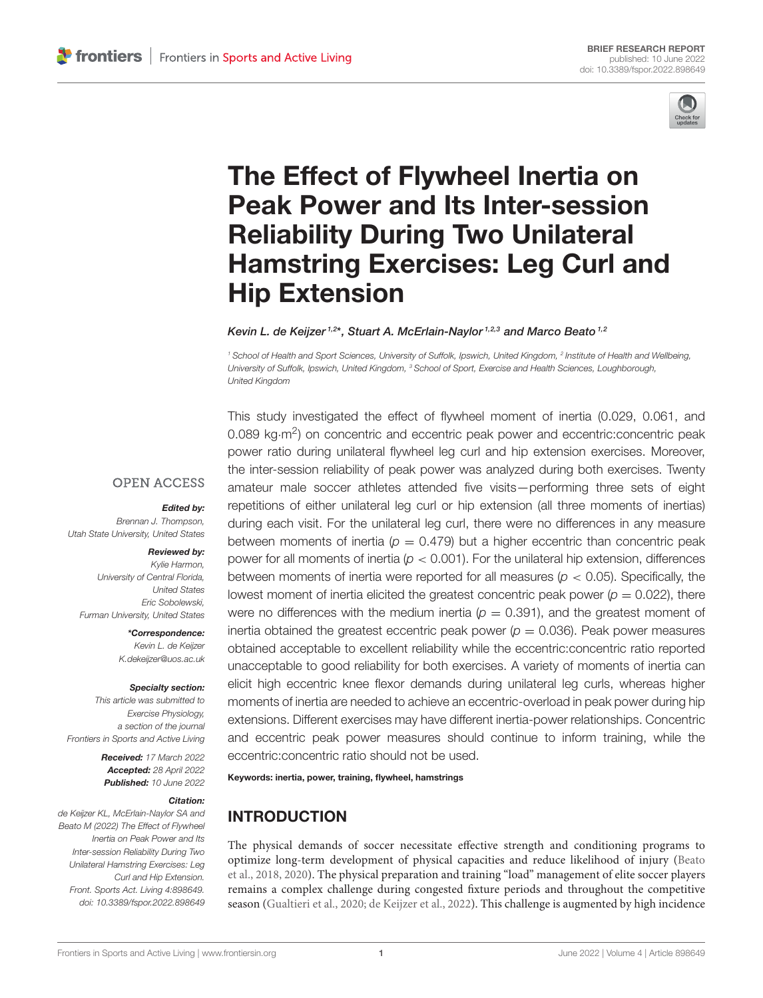

# The Effect of Flywheel Inertia on Peak Power and Its Inter-session Reliability During Two Unilateral [Hamstring Exercises: Leg Curl and](https://www.frontiersin.org/articles/10.3389/fspor.2022.898649/full) Hip Extension

Kevin L. de Keijzer<sup>1,2\*</sup>, Stuart A. McErlain-Naylor<sup>1,2,3</sup> and Marco Beato<sup>1,2</sup>

*<sup>1</sup> School of Health and Sport Sciences, University of Suffolk, Ipswich, United Kingdom, <sup>2</sup> Institute of Health and Wellbeing, University of Suffolk, Ipswich, United Kingdom, <sup>3</sup> School of Sport, Exercise and Health Sciences, Loughborough, United Kingdom*

This study investigated the effect of flywheel moment of inertia (0.029, 0.061, and

**OPEN ACCESS** 

#### Edited by:

*Brennan J. Thompson, Utah State University, United States*

#### Reviewed by:

*Kylie Harmon, University of Central Florida, United States Eric Sobolewski, Furman University, United States*

> \*Correspondence: *Kevin L. de Keijzer [K.dekeijzer@uos.ac.uk](mailto:K.dekeijzer@uos.ac.uk)*

#### Specialty section:

*This article was submitted to Exercise Physiology, a section of the journal Frontiers in Sports and Active Living*

> Received: *17 March 2022* Accepted: *28 April 2022* Published: *10 June 2022*

#### Citation:

*de Keijzer KL, McErlain-Naylor SA and Beato M (2022) The Effect of Flywheel Inertia on Peak Power and Its Inter-session Reliability During Two Unilateral Hamstring Exercises: Leg Curl and Hip Extension. Front. Sports Act. Living 4:898649. doi: [10.3389/fspor.2022.898649](https://doi.org/10.3389/fspor.2022.898649)*

0.089 kg·m<sup>2</sup>) on concentric and eccentric peak power and eccentric:concentric peak power ratio during unilateral flywheel leg curl and hip extension exercises. Moreover, the inter-session reliability of peak power was analyzed during both exercises. Twenty amateur male soccer athletes attended five visits—performing three sets of eight repetitions of either unilateral leg curl or hip extension (all three moments of inertias) during each visit. For the unilateral leg curl, there were no differences in any measure between moments of inertia ( $p = 0.479$ ) but a higher eccentric than concentric peak power for all moments of inertia (*p* < 0.001). For the unilateral hip extension, differences between moments of inertia were reported for all measures (*p* < 0.05). Specifically, the lowest moment of inertia elicited the greatest concentric peak power ( $p = 0.022$ ), there were no differences with the medium inertia  $(p = 0.391)$ , and the greatest moment of inertia obtained the greatest eccentric peak power  $(p = 0.036)$ . Peak power measures obtained acceptable to excellent reliability while the eccentric:concentric ratio reported unacceptable to good reliability for both exercises. A variety of moments of inertia can elicit high eccentric knee flexor demands during unilateral leg curls, whereas higher moments of inertia are needed to achieve an eccentric-overload in peak power during hip extensions. Different exercises may have different inertia-power relationships. Concentric and eccentric peak power measures should continue to inform training, while the eccentric:concentric ratio should not be used.

Keywords: inertia, power, training, flywheel, hamstrings

# INTRODUCTION

The physical demands of soccer necessitate effective strength and conditioning programs to optimize long-term development of physical capacities and reduce likelihood of injury (Beato et al., [2018,](#page-7-0) [2020\)](#page-7-1). The physical preparation and training "load" management of elite soccer players remains a complex challenge during congested fixture periods and throughout the competitive season [\(Gualtieri et al., 2020;](#page-7-2) [de Keijzer et al., 2022\)](#page-7-3). This challenge is augmented by high incidence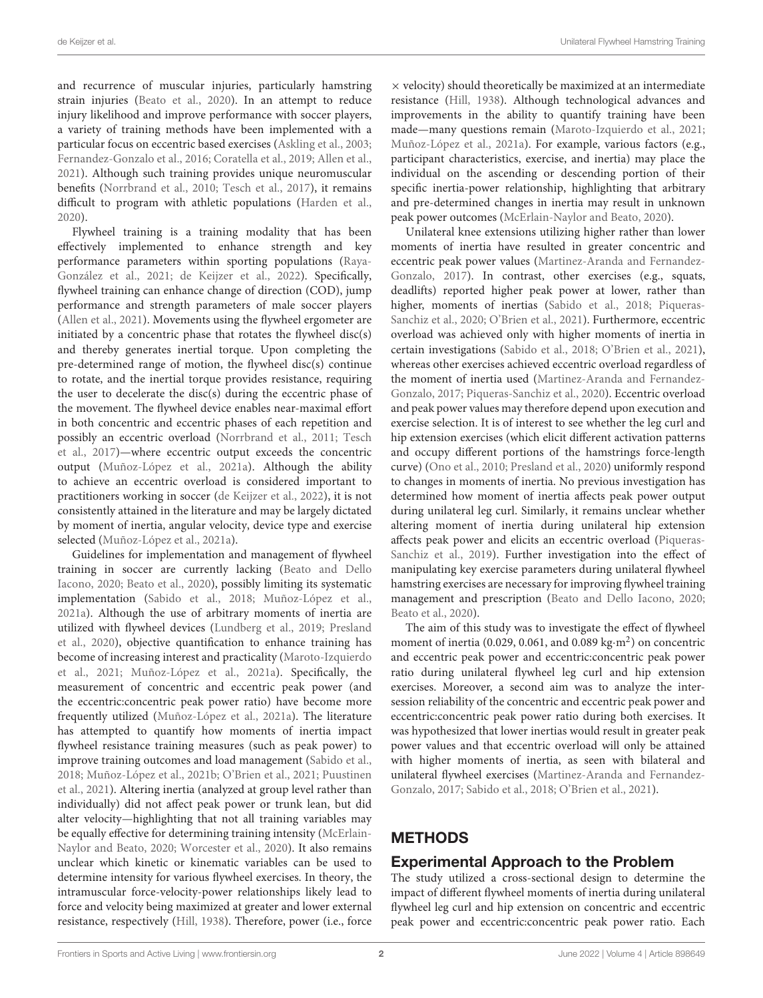and recurrence of muscular injuries, particularly hamstring strain injuries [\(Beato et al., 2020\)](#page-7-1). In an attempt to reduce injury likelihood and improve performance with soccer players, a variety of training methods have been implemented with a particular focus on eccentric based exercises [\(Askling et al., 2003;](#page-7-4) [Fernandez-Gonzalo et al., 2016;](#page-7-5) [Coratella et al., 2019;](#page-7-6) [Allen et al.,](#page-7-7) [2021\)](#page-7-7). Although such training provides unique neuromuscular benefits [\(Norrbrand et al., 2010;](#page-7-8) [Tesch et al., 2017\)](#page-8-0), it remains difficult to program with athletic populations [\(Harden et al.,](#page-7-9) [2020\)](#page-7-9).

Flywheel training is a training modality that has been effectively implemented to enhance strength and key performance parameters within sporting populations (Raya-González et al., [2021;](#page-8-1) [de Keijzer et al., 2022\)](#page-7-3). Specifically, flywheel training can enhance change of direction (COD), jump performance and strength parameters of male soccer players [\(Allen et al., 2021\)](#page-7-7). Movements using the flywheel ergometer are initiated by a concentric phase that rotates the flywheel disc(s) and thereby generates inertial torque. Upon completing the pre-determined range of motion, the flywheel disc(s) continue to rotate, and the inertial torque provides resistance, requiring the user to decelerate the disc(s) during the eccentric phase of the movement. The flywheel device enables near-maximal effort in both concentric and eccentric phases of each repetition and possibly an eccentric overload [\(Norrbrand et al., 2011;](#page-7-10) Tesch et al., [2017\)](#page-8-0)—where eccentric output exceeds the concentric output [\(Muñoz-López et al., 2021a\)](#page-7-11). Although the ability to achieve an eccentric overload is considered important to practitioners working in soccer [\(de Keijzer et al., 2022\)](#page-7-3), it is not consistently attained in the literature and may be largely dictated by moment of inertia, angular velocity, device type and exercise selected [\(Muñoz-López et al., 2021a\)](#page-7-11).

Guidelines for implementation and management of flywheel training in soccer are currently lacking (Beato and Dello Iacono, [2020;](#page-7-12) [Beato et al., 2020\)](#page-7-1), possibly limiting its systematic implementation [\(Sabido et al., 2018;](#page-8-2) [Muñoz-López et al.,](#page-7-11) [2021a\)](#page-7-11). Although the use of arbitrary moments of inertia are utilized with flywheel devices [\(Lundberg et al., 2019;](#page-7-13) Presland et al., [2020\)](#page-8-3), objective quantification to enhance training has become of increasing interest and practicality (Maroto-Izquierdo et al., [2021;](#page-7-14) [Muñoz-López et al., 2021a\)](#page-7-11). Specifically, the measurement of concentric and eccentric peak power (and the eccentric:concentric peak power ratio) have become more frequently utilized [\(Muñoz-López et al., 2021a\)](#page-7-11). The literature has attempted to quantify how moments of inertia impact flywheel resistance training measures (such as peak power) to improve training outcomes and load management [\(Sabido et al.,](#page-8-2) [2018;](#page-8-2) [Muñoz-López et al., 2021b;](#page-7-15) [O'Brien et al., 2021;](#page-8-4) Puustinen et al., [2021\)](#page-8-5). Altering inertia (analyzed at group level rather than individually) did not affect peak power or trunk lean, but did alter velocity—highlighting that not all training variables may be equally effective for determining training intensity (McErlain-Naylor and Beato, [2020;](#page-7-16) [Worcester et al., 2020\)](#page-8-6). It also remains unclear which kinetic or kinematic variables can be used to determine intensity for various flywheel exercises. In theory, the intramuscular force-velocity-power relationships likely lead to force and velocity being maximized at greater and lower external resistance, respectively [\(Hill, 1938\)](#page-7-17). Therefore, power (i.e., force  $\times$  velocity) should theoretically be maximized at an intermediate resistance [\(Hill, 1938\)](#page-7-17). Although technological advances and improvements in the ability to quantify training have been made—many questions remain [\(Maroto-Izquierdo et al., 2021;](#page-7-14) [Muñoz-López et al., 2021a\)](#page-7-11). For example, various factors (e.g., participant characteristics, exercise, and inertia) may place the individual on the ascending or descending portion of their specific inertia-power relationship, highlighting that arbitrary and pre-determined changes in inertia may result in unknown peak power outcomes [\(McErlain-Naylor and Beato, 2020\)](#page-7-16).

Unilateral knee extensions utilizing higher rather than lower moments of inertia have resulted in greater concentric and eccentric peak power values (Martinez-Aranda and Fernandez-Gonzalo, [2017\)](#page-7-18). In contrast, other exercises (e.g., squats, deadlifts) reported higher peak power at lower, rather than higher, moments of inertias [\(Sabido et al., 2018;](#page-8-2) Piqueras-Sanchiz et al., [2020;](#page-8-7) [O'Brien et al., 2021\)](#page-8-4). Furthermore, eccentric overload was achieved only with higher moments of inertia in certain investigations [\(Sabido et al., 2018;](#page-8-2) [O'Brien et al., 2021\)](#page-8-4), whereas other exercises achieved eccentric overload regardless of the moment of inertia used (Martinez-Aranda and Fernandez-Gonzalo, [2017;](#page-7-18) [Piqueras-Sanchiz et al., 2020\)](#page-8-7). Eccentric overload and peak power values may therefore depend upon execution and exercise selection. It is of interest to see whether the leg curl and hip extension exercises (which elicit different activation patterns and occupy different portions of the hamstrings force-length curve) [\(Ono et al., 2010;](#page-8-8) [Presland et al., 2020\)](#page-8-3) uniformly respond to changes in moments of inertia. No previous investigation has determined how moment of inertia affects peak power output during unilateral leg curl. Similarly, it remains unclear whether altering moment of inertia during unilateral hip extension affects peak power and elicits an eccentric overload (Piqueras-Sanchiz et al., [2019\)](#page-8-9). Further investigation into the effect of manipulating key exercise parameters during unilateral flywheel hamstring exercises are necessary for improving flywheel training management and prescription [\(Beato and Dello Iacono, 2020;](#page-7-12) [Beato et al., 2020\)](#page-7-1).

The aim of this study was to investigate the effect of flywheel moment of inertia (0.029, 0.061, and 0.089 kg·m<sup>2</sup>) on concentric and eccentric peak power and eccentric:concentric peak power ratio during unilateral flywheel leg curl and hip extension exercises. Moreover, a second aim was to analyze the intersession reliability of the concentric and eccentric peak power and eccentric:concentric peak power ratio during both exercises. It was hypothesized that lower inertias would result in greater peak power values and that eccentric overload will only be attained with higher moments of inertia, as seen with bilateral and unilateral flywheel exercises (Martinez-Aranda and Fernandez-Gonzalo, [2017;](#page-7-18) [Sabido et al., 2018;](#page-8-2) [O'Brien et al., 2021\)](#page-8-4).

# METHODS

# Experimental Approach to the Problem

The study utilized a cross-sectional design to determine the impact of different flywheel moments of inertia during unilateral flywheel leg curl and hip extension on concentric and eccentric peak power and eccentric:concentric peak power ratio. Each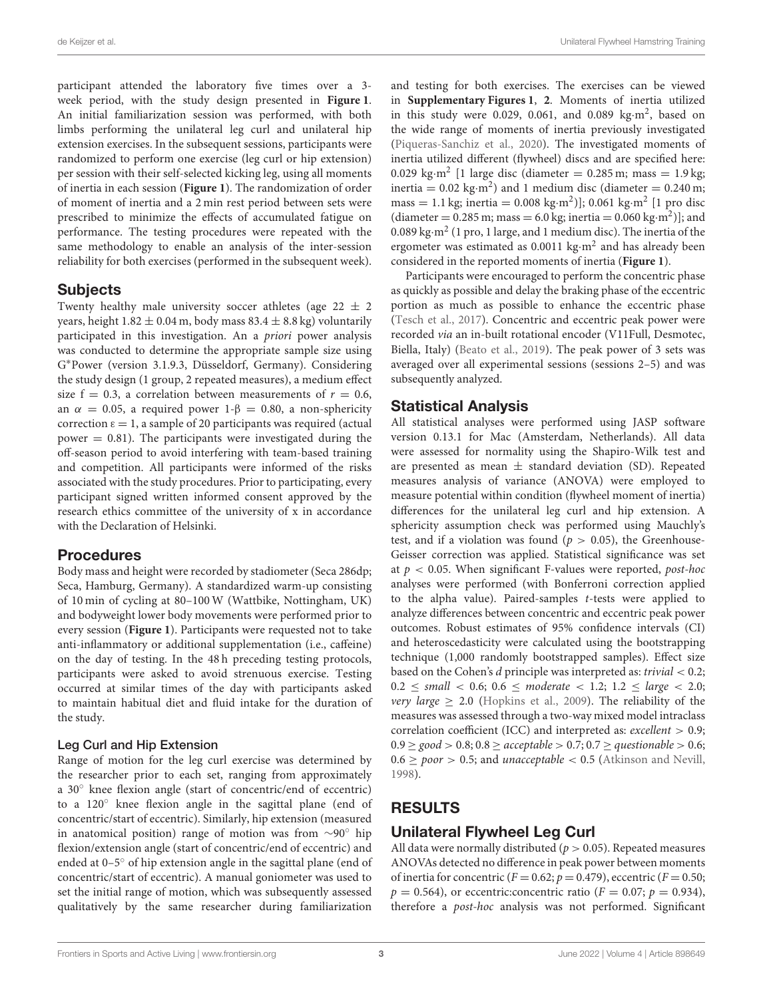participant attended the laboratory five times over a 3 week period, with the study design presented in **[Figure 1](#page-3-0)**. An initial familiarization session was performed, with both limbs performing the unilateral leg curl and unilateral hip extension exercises. In the subsequent sessions, participants were randomized to perform one exercise (leg curl or hip extension) per session with their self-selected kicking leg, using all moments of inertia in each session (**[Figure 1](#page-3-0)**). The randomization of order of moment of inertia and a 2 min rest period between sets were prescribed to minimize the effects of accumulated fatigue on performance. The testing procedures were repeated with the same methodology to enable an analysis of the inter-session reliability for both exercises (performed in the subsequent week).

### Subjects

Twenty healthy male university soccer athletes (age  $22 \pm 2$ ) years, height  $1.82 \pm 0.04$  m, body mass  $83.4 \pm 8.8$  kg) voluntarily participated in this investigation. An a priori power analysis was conducted to determine the appropriate sample size using G <sup>∗</sup>Power (version 3.1.9.3, Düsseldorf, Germany). Considering the study design (1 group, 2 repeated measures), a medium effect size  $f = 0.3$ , a correlation between measurements of  $r = 0.6$ , an  $\alpha = 0.05$ , a required power 1- $\beta = 0.80$ , a non-sphericity correction  $\varepsilon = 1$ , a sample of 20 participants was required (actual power  $= 0.81$ ). The participants were investigated during the off-season period to avoid interfering with team-based training and competition. All participants were informed of the risks associated with the study procedures. Prior to participating, every participant signed written informed consent approved by the research ethics committee of the university of x in accordance with the Declaration of Helsinki.

### Procedures

Body mass and height were recorded by stadiometer (Seca 286dp; Seca, Hamburg, Germany). A standardized warm-up consisting of 10 min of cycling at 80–100 W (Wattbike, Nottingham, UK) and bodyweight lower body movements were performed prior to every session (**[Figure 1](#page-3-0)**). Participants were requested not to take anti-inflammatory or additional supplementation (i.e., caffeine) on the day of testing. In the 48 h preceding testing protocols, participants were asked to avoid strenuous exercise. Testing occurred at similar times of the day with participants asked to maintain habitual diet and fluid intake for the duration of the study.

#### Leg Curl and Hip Extension

Range of motion for the leg curl exercise was determined by the researcher prior to each set, ranging from approximately a 30◦ knee flexion angle (start of concentric/end of eccentric) to a 120◦ knee flexion angle in the sagittal plane (end of concentric/start of eccentric). Similarly, hip extension (measured in anatomical position) range of motion was from ∼90◦ hip flexion/extension angle (start of concentric/end of eccentric) and ended at 0–5◦ of hip extension angle in the sagittal plane (end of concentric/start of eccentric). A manual goniometer was used to set the initial range of motion, which was subsequently assessed qualitatively by the same researcher during familiarization and testing for both exercises. The exercises can be viewed in **[Supplementary Figures 1](#page-7-19)**, **[2](#page-7-19)**. Moments of inertia utilized in this study were 0.029, 0.061, and 0.089 kg·m<sup>2</sup>, based on the wide range of moments of inertia previously investigated [\(Piqueras-Sanchiz et al., 2020\)](#page-8-7). The investigated moments of inertia utilized different (flywheel) discs and are specified here: 0.029 kg·m<sup>2</sup> [1 large disc (diameter = 0.285 m; mass =  $1.9$  kg; inertia =  $0.02 \text{ kg} \cdot \text{m}^2$ ) and 1 medium disc (diameter =  $0.240 \text{ m}$ ; mass = 1.1 kg; inertia = 0.008 kg·m<sup>2</sup> )]; 0.061 kg·m<sup>2</sup> [1 pro disc  $(diameter = 0.285 m; mass = 6.0 kg; inertia = 0.060 kg·m<sup>2</sup>)$ ; and 0.089 kg·m<sup>2</sup> (1 pro, 1 large, and 1 medium disc). The inertia of the ergometer was estimated as 0.0011 kg·m<sup>2</sup> and has already been considered in the reported moments of inertia (**[Figure 1](#page-3-0)**).

Participants were encouraged to perform the concentric phase as quickly as possible and delay the braking phase of the eccentric portion as much as possible to enhance the eccentric phase [\(Tesch et al., 2017\)](#page-8-0). Concentric and eccentric peak power were recorded via an in-built rotational encoder (V11Full, Desmotec, Biella, Italy) [\(Beato et al., 2019\)](#page-7-20). The peak power of 3 sets was averaged over all experimental sessions (sessions 2–5) and was subsequently analyzed.

## Statistical Analysis

All statistical analyses were performed using JASP software version 0.13.1 for Mac (Amsterdam, Netherlands). All data were assessed for normality using the Shapiro-Wilk test and are presented as mean  $\pm$  standard deviation (SD). Repeated measures analysis of variance (ANOVA) were employed to measure potential within condition (flywheel moment of inertia) differences for the unilateral leg curl and hip extension. A sphericity assumption check was performed using Mauchly's test, and if a violation was found ( $p > 0.05$ ), the Greenhouse-Geisser correction was applied. Statistical significance was set at  $p < 0.05$ . When significant F-values were reported, *post-hoc* analyses were performed (with Bonferroni correction applied to the alpha value). Paired-samples t-tests were applied to analyze differences between concentric and eccentric peak power outcomes. Robust estimates of 95% confidence intervals (CI) and heteroscedasticity were calculated using the bootstrapping technique (1,000 randomly bootstrapped samples). Effect size based on the Cohen's  $d$  principle was interpreted as: trivial  $< 0.2$ ;  $0.2 \le \text{small} < 0.6$ ;  $0.6 \le \text{moderate} < 1.2$ ;  $1.2 \le \text{large} < 2.0$ ; *very large*  $> 2.0$  [\(Hopkins et al., 2009\)](#page-7-21). The reliability of the measures was assessed through a two-way mixed model intraclass correlation coefficient (ICC) and interpreted as: excellent > 0.9;  $0.9 \ge \text{good} > 0.8$ ;  $0.8 \ge \text{acceptable} > 0.7$ ;  $0.7 \ge \text{questionable} > 0.6$ ;  $0.6 \geq poor > 0.5$ ; and *unacceptable* < 0.5 [\(Atkinson and Nevill,](#page-7-22) [1998\)](#page-7-22).

# RESULTS

# Unilateral Flywheel Leg Curl

All data were normally distributed ( $p > 0.05$ ). Repeated measures ANOVAs detected no difference in peak power between moments of inertia for concentric ( $F = 0.62$ ;  $p = 0.479$ ), eccentric ( $F = 0.50$ ;  $p = 0.564$ , or eccentric:concentric ratio ( $F = 0.07$ ;  $p = 0.934$ ), therefore a post-hoc analysis was not performed. Significant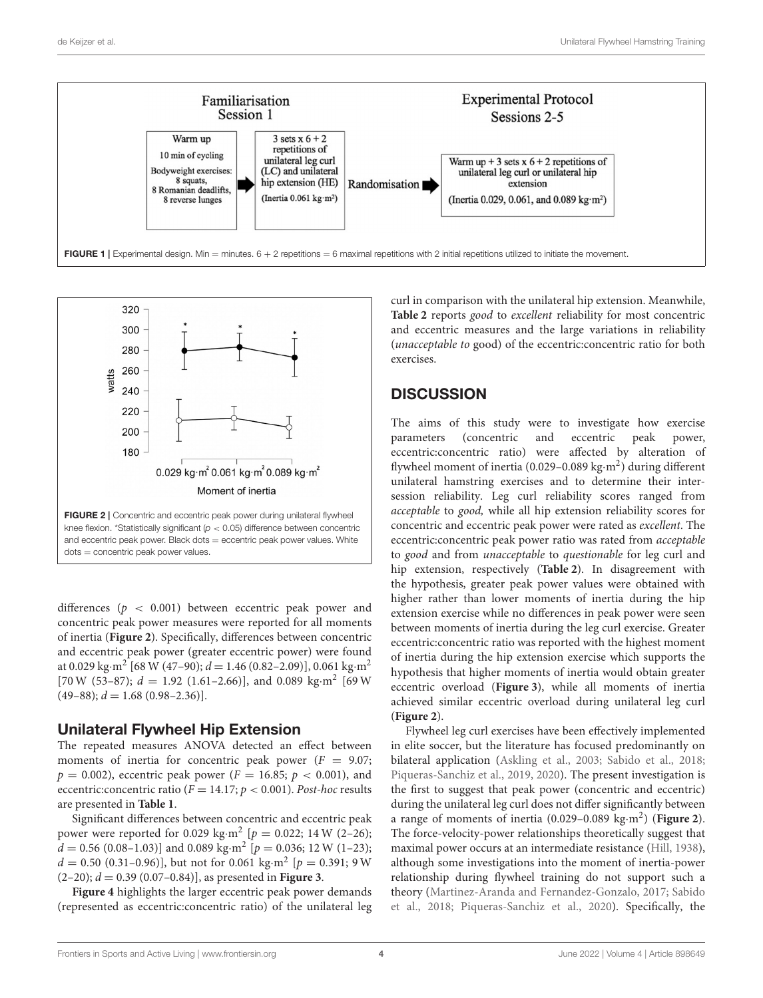

<span id="page-3-0"></span>

<span id="page-3-1"></span>and eccentric peak power. Black dots  $=$  eccentric peak power values. White dots = concentric peak power values.

differences ( $p < 0.001$ ) between eccentric peak power and concentric peak power measures were reported for all moments of inertia (**[Figure 2](#page-3-1)**). Specifically, differences between concentric and eccentric peak power (greater eccentric power) were found at 0.029 kg·m<sup>2</sup> [68 W (47–90);  $d = 1.46$  (0.82–2.09)], 0.061 kg·m<sup>2</sup> [70 W (53-87);  $d = 1.92$  (1.61-2.66)], and 0.089 kg·m<sup>2</sup> [69 W  $(49-88)$ ;  $d = 1.68$   $(0.98-2.36)$ ].

# Unilateral Flywheel Hip Extension

The repeated measures ANOVA detected an effect between moments of inertia for concentric peak power ( $F = 9.07$ ;  $p = 0.002$ , eccentric peak power ( $F = 16.85$ ;  $p < 0.001$ ), and eccentric:concentric ratio ( $F = 14.17$ ;  $p < 0.001$ ). Post-hoc results are presented in **[Table 1](#page-4-0)**.

Significant differences between concentric and eccentric peak power were reported for 0.029 kg·m<sup>2</sup> [ $p = 0.022$ ; 14 W (2-26);  $d = 0.56 (0.08 - 1.03)$ ] and 0.089 kg·m<sup>2</sup> [ $p = 0.036$ ; 12 W (1-23);  $d = 0.50$  (0.31-0.96)], but not for 0.061 kg·m<sup>2</sup> [ $p = 0.391$ ; 9 W  $(2-20); d = 0.39 (0.07-0.84)$ , as presented in **[Figure 3](#page-4-1)**.

**[Figure 4](#page-4-2)** highlights the larger eccentric peak power demands (represented as eccentric:concentric ratio) of the unilateral leg curl in comparison with the unilateral hip extension. Meanwhile, **[Table 2](#page-5-0)** reports good to excellent reliability for most concentric and eccentric measures and the large variations in reliability (unacceptable to good) of the eccentric:concentric ratio for both exercises.

# **DISCUSSION**

The aims of this study were to investigate how exercise parameters (concentric and eccentric peak power, eccentric:concentric ratio) were affected by alteration of flywheel moment of inertia (0.029-0.089 kg·m<sup>2</sup>) during different unilateral hamstring exercises and to determine their intersession reliability. Leg curl reliability scores ranged from acceptable to good, while all hip extension reliability scores for concentric and eccentric peak power were rated as excellent. The eccentric:concentric peak power ratio was rated from acceptable to good and from unacceptable to questionable for leg curl and hip extension, respectively (**[Table 2](#page-5-0)**). In disagreement with the hypothesis, greater peak power values were obtained with higher rather than lower moments of inertia during the hip extension exercise while no differences in peak power were seen between moments of inertia during the leg curl exercise. Greater eccentric:concentric ratio was reported with the highest moment of inertia during the hip extension exercise which supports the hypothesis that higher moments of inertia would obtain greater eccentric overload (**[Figure 3](#page-4-1)**), while all moments of inertia achieved similar eccentric overload during unilateral leg curl (**[Figure 2](#page-3-1)**).

Flywheel leg curl exercises have been effectively implemented in elite soccer, but the literature has focused predominantly on bilateral application [\(Askling et al., 2003;](#page-7-4) [Sabido et al., 2018;](#page-8-2) [Piqueras-Sanchiz et al., 2019,](#page-8-9) [2020\)](#page-8-7). The present investigation is the first to suggest that peak power (concentric and eccentric) during the unilateral leg curl does not differ significantly between a range of moments of inertia (0.029–0.089 kg·m<sup>2</sup> ) (**[Figure 2](#page-3-1)**). The force-velocity-power relationships theoretically suggest that maximal power occurs at an intermediate resistance [\(Hill, 1938\)](#page-7-17), although some investigations into the moment of inertia-power relationship during flywheel training do not support such a theory [\(Martinez-Aranda and Fernandez-Gonzalo, 2017;](#page-7-18) Sabido et al., [2018;](#page-8-2) [Piqueras-Sanchiz et al., 2020\)](#page-8-7). Specifically, the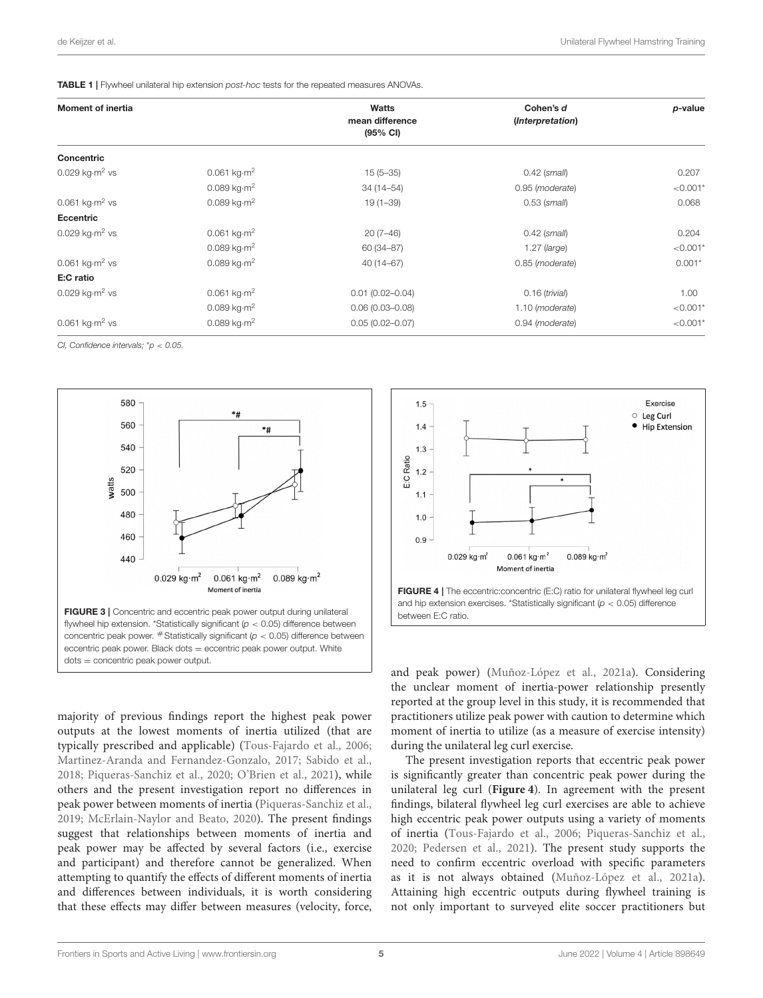<span id="page-4-0"></span>TABLE 1 | Flywheel unilateral hip extension *post-hoc* tests for the repeated measures ANOVAs.

|                                 |                                       |                  | p-value    |
|---------------------------------|---------------------------------------|------------------|------------|
|                                 | mean difference<br>$(95% \text{ CI})$ | (Interpretation) |            |
|                                 |                                       |                  |            |
| 0.061 $kg·m2$                   | $15(5-35)$                            | $0.42$ (small)   | 0.207      |
| 0.089 kg $\cdot$ m <sup>2</sup> | $34(14 - 54)$                         | 0.95 (moderate)  | $< 0.001*$ |
| 0.089 $kg·m2$                   | $19(1 - 39)$                          | $0.53$ (small)   | 0.068      |
|                                 |                                       |                  |            |
| 0.061 $kg·m2$                   | $20(7-46)$                            | $0.42$ (small)   | 0.204      |
| 0.089 $kg·m2$                   | 60 (34-87)                            | $1.27$ (large)   | $< 0.001*$ |
| 0.089 $kg·m2$                   | $40(14 - 67)$                         | 0.85 (moderate)  | $0.001*$   |
|                                 |                                       |                  |            |
| 0.061 $kg·m2$                   | $0.01(0.02 - 0.04)$                   | $0.16$ (trivial) | 1.00       |
| 0.089 kg $\cdot$ m <sup>2</sup> | $0.06(0.03 - 0.08)$                   | 1.10 (moderate)  | $< 0.001*$ |
| 0.089 $kg·m2$                   | $0.05(0.02 - 0.07)$                   | 0.94 (moderate)  | $< 0.001*$ |
|                                 |                                       | <b>Watts</b>     | Cohen's d  |

*CI, Confidence intervals;* \**p* < *0.05.*



<span id="page-4-1"></span>majority of previous findings report the highest peak power outputs at the lowest moments of inertia utilized (that are typically prescribed and applicable) [\(Tous-Fajardo et al., 2006;](#page-8-10) [Martinez-Aranda and Fernandez-Gonzalo, 2017;](#page-7-18) [Sabido et al.,](#page-8-2) [2018;](#page-8-2) [Piqueras-Sanchiz et al., 2020;](#page-8-7) [O'Brien et al., 2021\)](#page-8-4), while others and the present investigation report no differences in peak power between moments of inertia [\(Piqueras-Sanchiz et al.,](#page-8-9) [2019;](#page-8-9) [McErlain-Naylor and Beato, 2020\)](#page-7-16). The present findings suggest that relationships between moments of inertia and peak power may be affected by several factors (i.e., exercise and participant) and therefore cannot be generalized. When attempting to quantify the effects of different moments of inertia and differences between individuals, it is worth considering that these effects may differ between measures (velocity, force,



<span id="page-4-2"></span>and peak power) [\(Muñoz-López et al., 2021a\)](#page-7-11). Considering the unclear moment of inertia-power relationship presently reported at the group level in this study, it is recommended that practitioners utilize peak power with caution to determine which moment of inertia to utilize (as a measure of exercise intensity) during the unilateral leg curl exercise.

The present investigation reports that eccentric peak power is significantly greater than concentric peak power during the unilateral leg curl (**[Figure 4](#page-4-2)**). In agreement with the present findings, bilateral flywheel leg curl exercises are able to achieve high eccentric peak power outputs using a variety of moments of inertia [\(Tous-Fajardo et al., 2006;](#page-8-10) [Piqueras-Sanchiz et al.,](#page-8-7) [2020;](#page-8-7) [Pedersen et al., 2021\)](#page-8-11). The present study supports the need to confirm eccentric overload with specific parameters as it is not always obtained [\(Muñoz-López et al., 2021a\)](#page-7-11). Attaining high eccentric outputs during flywheel training is not only important to surveyed elite soccer practitioners but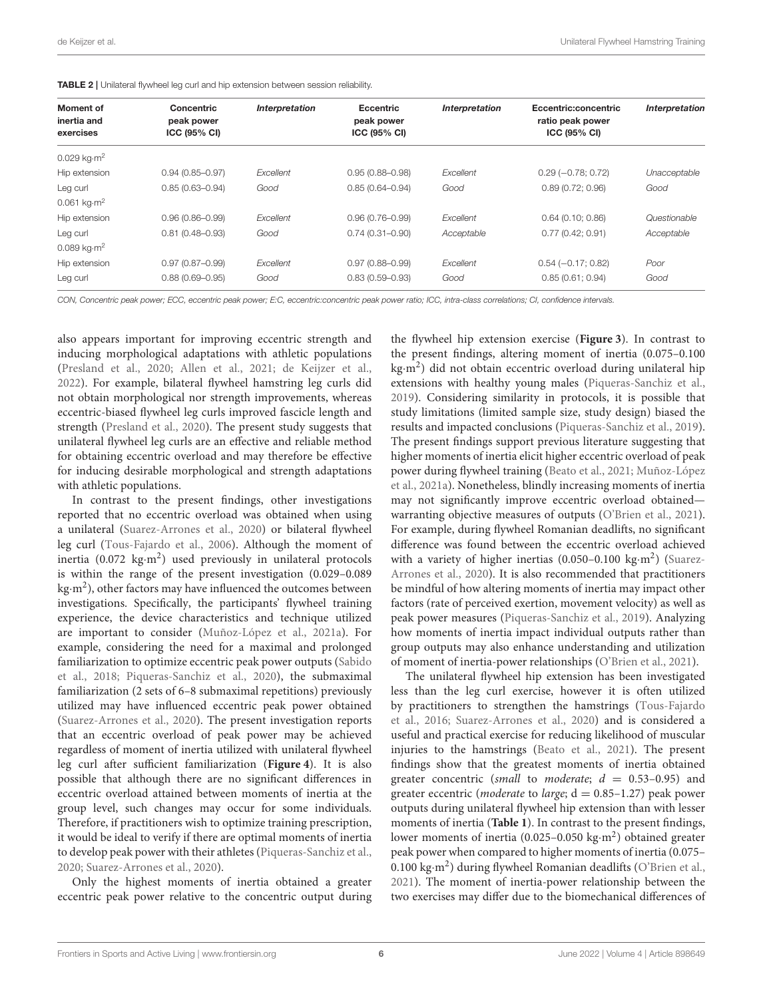<span id="page-5-0"></span>TABLE 2 | Unilateral flywheel leg curl and hip extension between session reliability.

| <b>Moment of</b><br>inertia and<br>exercises | <b>Concentric</b><br>peak power<br>ICC (95% CI) | Interpretation | <b>Eccentric</b><br>peak power<br>ICC (95% CI) | <b>Interpretation</b> | Eccentric:concentric<br>ratio peak power<br><b>ICC (95% CI)</b> | Interpretation |
|----------------------------------------------|-------------------------------------------------|----------------|------------------------------------------------|-----------------------|-----------------------------------------------------------------|----------------|
| $0.029 \text{ kg} \cdot \text{m}^2$          |                                                 |                |                                                |                       |                                                                 |                |
| Hip extension                                | $0.94(0.85 - 0.97)$                             | Excellent      | $0.95(0.88 - 0.98)$                            | Excellent             | $0.29 (-0.78; 0.72)$                                            | Unacceptable   |
| Leg curl                                     | $0.85(0.63 - 0.94)$                             | Good           | $0.85(0.64 - 0.94)$                            | Good                  | 0.89(0.72; 0.96)                                                | Good           |
| $0.061 \text{ kg} \cdot \text{m}^2$          |                                                 |                |                                                |                       |                                                                 |                |
| Hip extension                                | $0.96(0.86 - 0.99)$                             | Excellent      | $0.96(0.76 - 0.99)$                            | Excellent             | $0.64$ (0.10; 0.86)                                             | Questionable   |
| Leg curl                                     | $0.81(0.48 - 0.93)$                             | Good           | $0.74(0.31 - 0.90)$                            | Acceptable            | 0.77(0.42; 0.91)                                                | Acceptable     |
| $0.089$ kg $\cdot$ m <sup>2</sup>            |                                                 |                |                                                |                       |                                                                 |                |
| Hip extension                                | $0.97(0.87 - 0.99)$                             | Excellent      | $0.97(0.88 - 0.99)$                            | Excellent             | $0.54 (-0.17; 0.82)$                                            | Poor           |
| Leg curl                                     | $0.88(0.69 - 0.95)$                             | Good           | $0.83(0.59 - 0.93)$                            | Good                  | 0.85(0.61; 0.94)                                                | Good           |

*CON, Concentric peak power; ECC, eccentric peak power; E:C, eccentric:concentric peak power ratio; ICC, intra-class correlations; CI, confidence intervals.*

also appears important for improving eccentric strength and inducing morphological adaptations with athletic populations [\(Presland et al., 2020;](#page-8-3) [Allen et al., 2021;](#page-7-7) [de Keijzer et al.,](#page-7-3) [2022\)](#page-7-3). For example, bilateral flywheel hamstring leg curls did not obtain morphological nor strength improvements, whereas eccentric-biased flywheel leg curls improved fascicle length and strength [\(Presland et al., 2020\)](#page-8-3). The present study suggests that unilateral flywheel leg curls are an effective and reliable method for obtaining eccentric overload and may therefore be effective for inducing desirable morphological and strength adaptations with athletic populations.

In contrast to the present findings, other investigations reported that no eccentric overload was obtained when using a unilateral [\(Suarez-Arrones et al., 2020\)](#page-8-12) or bilateral flywheel leg curl [\(Tous-Fajardo et al., 2006\)](#page-8-10). Although the moment of inertia (0.072  $\text{kg}\cdot\text{m}^2$ ) used previously in unilateral protocols is within the range of the present investigation (0.029–0.089 kg $\cdot$ m<sup>2</sup>), other factors may have influenced the outcomes between investigations. Specifically, the participants' flywheel training experience, the device characteristics and technique utilized are important to consider [\(Muñoz-López et al., 2021a\)](#page-7-11). For example, considering the need for a maximal and prolonged familiarization to optimize eccentric peak power outputs (Sabido et al., [2018;](#page-8-2) [Piqueras-Sanchiz et al., 2020\)](#page-8-7), the submaximal familiarization (2 sets of 6–8 submaximal repetitions) previously utilized may have influenced eccentric peak power obtained [\(Suarez-Arrones et al., 2020\)](#page-8-12). The present investigation reports that an eccentric overload of peak power may be achieved regardless of moment of inertia utilized with unilateral flywheel leg curl after sufficient familiarization (**[Figure 4](#page-4-2)**). It is also possible that although there are no significant differences in eccentric overload attained between moments of inertia at the group level, such changes may occur for some individuals. Therefore, if practitioners wish to optimize training prescription, it would be ideal to verify if there are optimal moments of inertia to develop peak power with their athletes [\(Piqueras-Sanchiz et al.,](#page-8-7) [2020;](#page-8-7) [Suarez-Arrones et al., 2020\)](#page-8-12).

Only the highest moments of inertia obtained a greater eccentric peak power relative to the concentric output during the flywheel hip extension exercise (**[Figure 3](#page-4-1)**). In contrast to the present findings, altering moment of inertia (0.075–0.100 kg·m<sup>2</sup> ) did not obtain eccentric overload during unilateral hip extensions with healthy young males [\(Piqueras-Sanchiz et al.,](#page-8-9) [2019\)](#page-8-9). Considering similarity in protocols, it is possible that study limitations (limited sample size, study design) biased the results and impacted conclusions [\(Piqueras-Sanchiz et al., 2019\)](#page-8-9). The present findings support previous literature suggesting that higher moments of inertia elicit higher eccentric overload of peak power during flywheel training [\(Beato et al., 2021;](#page-7-23) Muñoz-López et al., [2021a\)](#page-7-11). Nonetheless, blindly increasing moments of inertia may not significantly improve eccentric overload obtained warranting objective measures of outputs [\(O'Brien et al., 2021\)](#page-8-4). For example, during flywheel Romanian deadlifts, no significant difference was found between the eccentric overload achieved with a variety of higher inertias  $(0.050-0.100 \text{ kg} \cdot \text{m}^2)$  (Suarez-Arrones et al., [2020\)](#page-8-12). It is also recommended that practitioners be mindful of how altering moments of inertia may impact other factors (rate of perceived exertion, movement velocity) as well as peak power measures [\(Piqueras-Sanchiz et al., 2019\)](#page-8-9). Analyzing how moments of inertia impact individual outputs rather than group outputs may also enhance understanding and utilization of moment of inertia-power relationships [\(O'Brien et al., 2021\)](#page-8-4).

The unilateral flywheel hip extension has been investigated less than the leg curl exercise, however it is often utilized by practitioners to strengthen the hamstrings (Tous-Fajardo et al., [2016;](#page-8-13) [Suarez-Arrones et al., 2020\)](#page-8-12) and is considered a useful and practical exercise for reducing likelihood of muscular injuries to the hamstrings [\(Beato et al., 2021\)](#page-7-23). The present findings show that the greatest moments of inertia obtained greater concentric (small to moderate;  $d = 0.53-0.95$ ) and greater eccentric (*moderate* to *large*;  $d = 0.85 - 1.27$ ) peak power outputs during unilateral flywheel hip extension than with lesser moments of inertia (**[Table 1](#page-4-0)**). In contrast to the present findings, lower moments of inertia (0.025-0.050 kg·m<sup>2</sup>) obtained greater peak power when compared to higher moments of inertia (0.075– 0.100 kg·m<sup>2</sup>) during flywheel Romanian deadlifts [\(O'Brien et al.,](#page-8-4) [2021\)](#page-8-4). The moment of inertia-power relationship between the two exercises may differ due to the biomechanical differences of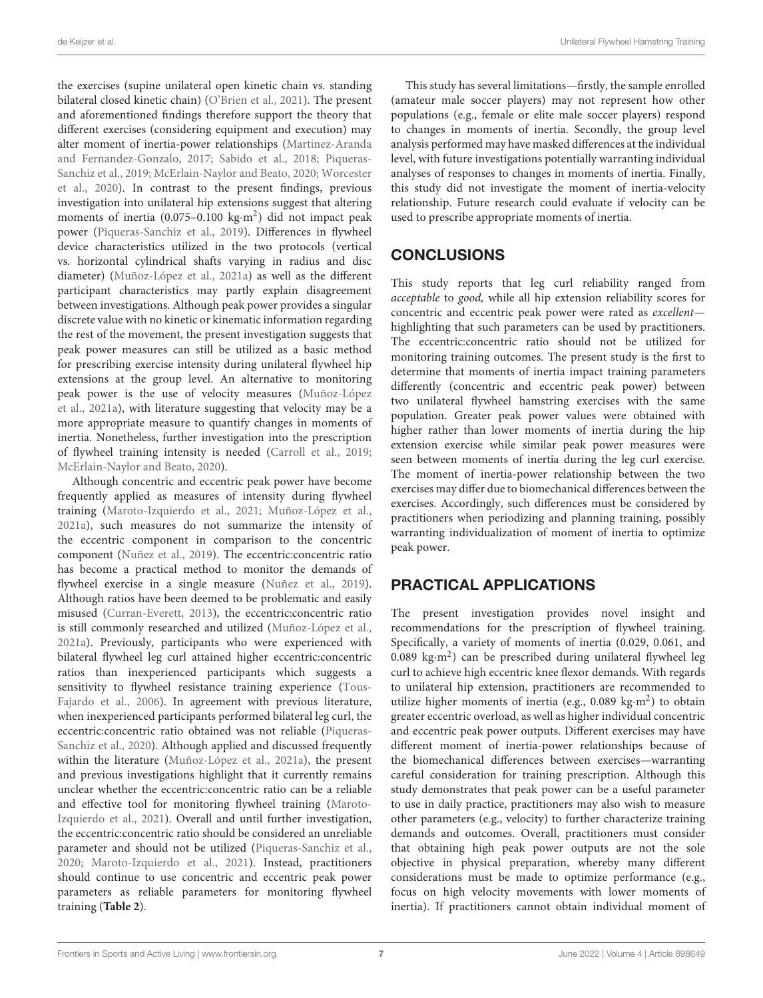the exercises (supine unilateral open kinetic chain vs. standing bilateral closed kinetic chain) [\(O'Brien et al., 2021\)](#page-8-4). The present and aforementioned findings therefore support the theory that different exercises (considering equipment and execution) may alter moment of inertia-power relationships (Martinez-Aranda and Fernandez-Gonzalo, [2017;](#page-7-18) [Sabido et al., 2018;](#page-8-2) Piqueras-Sanchiz et al., [2019;](#page-8-9) [McErlain-Naylor and Beato, 2020;](#page-7-16) Worcester et al., [2020\)](#page-8-6). In contrast to the present findings, previous investigation into unilateral hip extensions suggest that altering moments of inertia (0.075-0.100 kg·m<sup>2</sup>) did not impact peak power [\(Piqueras-Sanchiz et al., 2019\)](#page-8-9). Differences in flywheel device characteristics utilized in the two protocols (vertical vs. horizontal cylindrical shafts varying in radius and disc diameter) [\(Muñoz-López et al., 2021a\)](#page-7-11) as well as the different participant characteristics may partly explain disagreement between investigations. Although peak power provides a singular discrete value with no kinetic or kinematic information regarding the rest of the movement, the present investigation suggests that peak power measures can still be utilized as a basic method for prescribing exercise intensity during unilateral flywheel hip extensions at the group level. An alternative to monitoring peak power is the use of velocity measures (Muñoz-López et al., [2021a\)](#page-7-11), with literature suggesting that velocity may be a more appropriate measure to quantify changes in moments of inertia. Nonetheless, further investigation into the prescription of flywheel training intensity is needed [\(Carroll et al., 2019;](#page-7-24) [McErlain-Naylor and Beato, 2020\)](#page-7-16).

Although concentric and eccentric peak power have become frequently applied as measures of intensity during flywheel training [\(Maroto-Izquierdo et al., 2021;](#page-7-14) [Muñoz-López et al.,](#page-7-11) [2021a\)](#page-7-11), such measures do not summarize the intensity of the eccentric component in comparison to the concentric component [\(Nuñez et al., 2019\)](#page-7-25). The eccentric:concentric ratio has become a practical method to monitor the demands of flywheel exercise in a single measure [\(Nuñez et al., 2019\)](#page-7-25). Although ratios have been deemed to be problematic and easily misused [\(Curran-Everett, 2013\)](#page-7-26), the eccentric:concentric ratio is still commonly researched and utilized [\(Muñoz-López et al.,](#page-7-11) [2021a\)](#page-7-11). Previously, participants who were experienced with bilateral flywheel leg curl attained higher eccentric:concentric ratios than inexperienced participants which suggests a sensitivity to flywheel resistance training experience (Tous-Fajardo et al., [2006\)](#page-8-10). In agreement with previous literature, when inexperienced participants performed bilateral leg curl, the eccentric:concentric ratio obtained was not reliable (Piqueras-Sanchiz et al., [2020\)](#page-8-7). Although applied and discussed frequently within the literature [\(Muñoz-López et al., 2021a\)](#page-7-11), the present and previous investigations highlight that it currently remains unclear whether the eccentric:concentric ratio can be a reliable and effective tool for monitoring flywheel training (Maroto-Izquierdo et al., [2021\)](#page-7-14). Overall and until further investigation, the eccentric:concentric ratio should be considered an unreliable parameter and should not be utilized [\(Piqueras-Sanchiz et al.,](#page-8-7) [2020;](#page-8-7) [Maroto-Izquierdo et al., 2021\)](#page-7-14). Instead, practitioners should continue to use concentric and eccentric peak power parameters as reliable parameters for monitoring flywheel training (**[Table 2](#page-5-0)**).

This study has several limitations—firstly, the sample enrolled (amateur male soccer players) may not represent how other populations (e.g., female or elite male soccer players) respond to changes in moments of inertia. Secondly, the group level analysis performed may have masked differences at the individual level, with future investigations potentially warranting individual analyses of responses to changes in moments of inertia. Finally, this study did not investigate the moment of inertia-velocity relationship. Future research could evaluate if velocity can be used to prescribe appropriate moments of inertia.

# **CONCLUSIONS**

This study reports that leg curl reliability ranged from acceptable to good, while all hip extension reliability scores for concentric and eccentric peak power were rated as excellent highlighting that such parameters can be used by practitioners. The eccentric:concentric ratio should not be utilized for monitoring training outcomes. The present study is the first to determine that moments of inertia impact training parameters differently (concentric and eccentric peak power) between two unilateral flywheel hamstring exercises with the same population. Greater peak power values were obtained with higher rather than lower moments of inertia during the hip extension exercise while similar peak power measures were seen between moments of inertia during the leg curl exercise. The moment of inertia-power relationship between the two exercises may differ due to biomechanical differences between the exercises. Accordingly, such differences must be considered by practitioners when periodizing and planning training, possibly warranting individualization of moment of inertia to optimize peak power.

# PRACTICAL APPLICATIONS

The present investigation provides novel insight and recommendations for the prescription of flywheel training. Specifically, a variety of moments of inertia (0.029, 0.061, and 0.089  $\text{kg}\cdot\text{m}^2$ ) can be prescribed during unilateral flywheel leg curl to achieve high eccentric knee flexor demands. With regards to unilateral hip extension, practitioners are recommended to utilize higher moments of inertia (e.g., 0.089 kg·m<sup>2</sup>) to obtain greater eccentric overload, as well as higher individual concentric and eccentric peak power outputs. Different exercises may have different moment of inertia-power relationships because of the biomechanical differences between exercises—warranting careful consideration for training prescription. Although this study demonstrates that peak power can be a useful parameter to use in daily practice, practitioners may also wish to measure other parameters (e.g., velocity) to further characterize training demands and outcomes. Overall, practitioners must consider that obtaining high peak power outputs are not the sole objective in physical preparation, whereby many different considerations must be made to optimize performance (e.g., focus on high velocity movements with lower moments of inertia). If practitioners cannot obtain individual moment of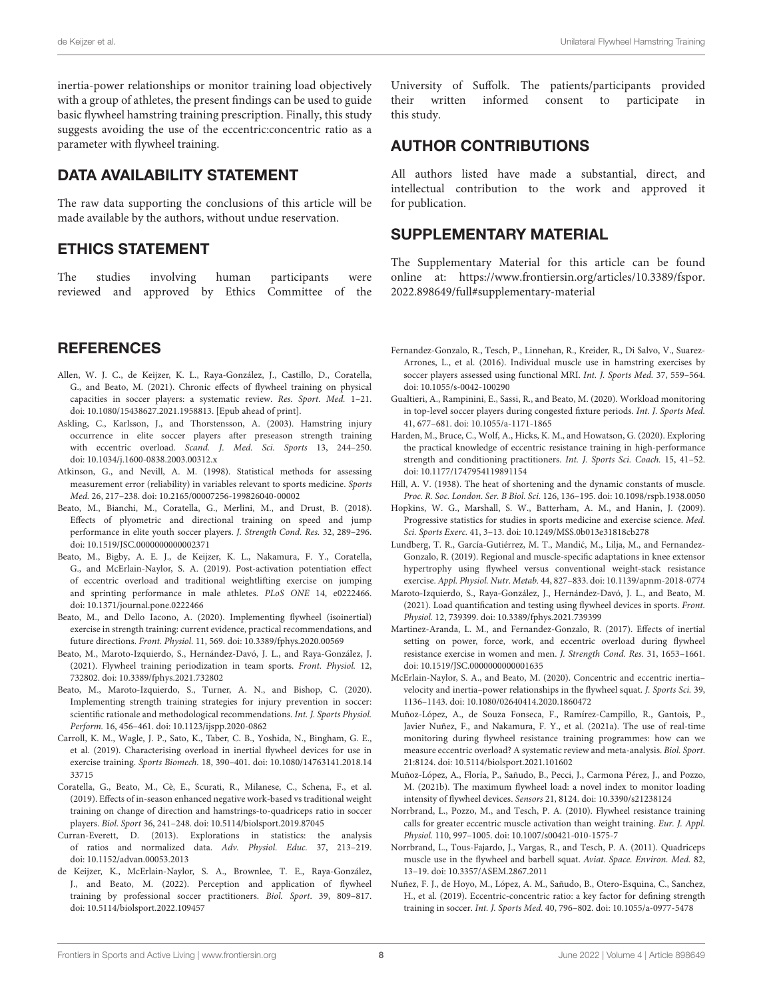inertia-power relationships or monitor training load objectively with a group of athletes, the present findings can be used to guide basic flywheel hamstring training prescription. Finally, this study suggests avoiding the use of the eccentric:concentric ratio as a parameter with flywheel training.

# DATA AVAILABILITY STATEMENT

The raw data supporting the conclusions of this article will be made available by the authors, without undue reservation.

# ETHICS STATEMENT

The studies involving human participants were reviewed and approved by Ethics Committee of the

# **REFERENCES**

- <span id="page-7-7"></span>Allen, W. J. C., de Keijzer, K. L., Raya-González, J., Castillo, D., Coratella, G., and Beato, M. (2021). Chronic effects of flywheel training on physical capacities in soccer players: a systematic review. Res. Sport. Med. 1–21. doi: [10.1080/15438627.2021.1958813.](https://doi.org/10.1080/15438627.2021.1958813) [Epub ahead of print].
- <span id="page-7-4"></span>Askling, C., Karlsson, J., and Thorstensson, A. (2003). Hamstring injury occurrence in elite soccer players after preseason strength training with eccentric overload. Scand. J. Med. Sci. Sports 13, 244–250. doi: [10.1034/j.1600-0838.2003.00312.x](https://doi.org/10.1034/j.1600-0838.2003.00312.x)
- <span id="page-7-22"></span>Atkinson, G., and Nevill, A. M. (1998). Statistical methods for assessing measurement error (reliability) in variables relevant to sports medicine. Sports Med. 26, 217–238. doi: [10.2165/00007256-199826040-00002](https://doi.org/10.2165/00007256-199826040-00002)
- <span id="page-7-0"></span>Beato, M., Bianchi, M., Coratella, G., Merlini, M., and Drust, B. (2018). Effects of plyometric and directional training on speed and jump performance in elite youth soccer players. J. Strength Cond. Res. 32, 289–296. doi: [10.1519/JSC.0000000000002371](https://doi.org/10.1519/JSC.0000000000002371)
- <span id="page-7-20"></span>Beato, M., Bigby, A. E. J., de Keijzer, K. L., Nakamura, F. Y., Coratella, G., and McErlain-Naylor, S. A. (2019). Post-activation potentiation effect of eccentric overload and traditional weightlifting exercise on jumping and sprinting performance in male athletes. PLoS ONE 14, e0222466. doi: [10.1371/journal.pone.0222466](https://doi.org/10.1371/journal.pone.0222466)
- <span id="page-7-12"></span>Beato, M., and Dello Iacono, A. (2020). Implementing flywheel (isoinertial) exercise in strength training: current evidence, practical recommendations, and future directions. Front. Physiol. 11, 569. doi: [10.3389/fphys.2020.00569](https://doi.org/10.3389/fphys.2020.00569)
- <span id="page-7-23"></span>Beato, M., Maroto-Izquierdo, S., Hernández-Davó, J. L., and Raya-González, J. (2021). Flywheel training periodization in team sports. Front. Physiol. 12, 732802. doi: [10.3389/fphys.2021.732802](https://doi.org/10.3389/fphys.2021.732802)
- <span id="page-7-1"></span>Beato, M., Maroto-Izquierdo, S., Turner, A. N., and Bishop, C. (2020). Implementing strength training strategies for injury prevention in soccer: scientific rationale and methodological recommendations. Int. J. Sports Physiol. Perform. 16, 456–461. doi: [10.1123/ijspp.2020-0862](https://doi.org/10.1123/ijspp.2020-0862)
- <span id="page-7-24"></span>Carroll, K. M., Wagle, J. P., Sato, K., Taber, C. B., Yoshida, N., Bingham, G. E., et al. (2019). Characterising overload in inertial flywheel devices for use in exercise training. Sports Biomech. [18, 390–401. doi: 10.1080/14763141.2018.14](https://doi.org/10.1080/14763141.2018.1433715) 33715
- <span id="page-7-6"></span>Coratella, G., Beato, M., Cè, E., Scurati, R., Milanese, C., Schena, F., et al. (2019). Effects of in-season enhanced negative work-based vs traditional weight training on change of direction and hamstrings-to-quadriceps ratio in soccer players. Biol. Sport 36, 241–248. doi: [10.5114/biolsport.2019.87045](https://doi.org/10.5114/biolsport.2019.87045)
- <span id="page-7-26"></span>Curran-Everett, D. (2013). Explorations in statistics: the analysis of ratios and normalized data. Adv. Physiol. Educ. 37, 213–219. doi: [10.1152/advan.00053.2013](https://doi.org/10.1152/advan.00053.2013)
- <span id="page-7-3"></span>de Keijzer, K., McErlain-Naylor, S. A., Brownlee, T. E., Raya-González, J., and Beato, M. (2022). Perception and application of flywheel training by professional soccer practitioners. Biol. Sport. 39, 809–817. doi: [10.5114/biolsport.2022.109457](https://doi.org/10.5114/biolsport.2022.109457)

University of Suffolk. The patients/participants provided their written informed consent to participate in this study.

## AUTHOR CONTRIBUTIONS

All authors listed have made a substantial, direct, and intellectual contribution to the work and approved it for publication.

### SUPPLEMENTARY MATERIAL

<span id="page-7-19"></span>The Supplementary Material for this article can be found [online at: https://www.frontiersin.org/articles/10.3389/fspor.](https://www.frontiersin.org/articles/10.3389/fspor.2022.898649/full#supplementary-material) 2022.898649/full#supplementary-material

- <span id="page-7-5"></span>Fernandez-Gonzalo, R., Tesch, P., Linnehan, R., Kreider, R., Di Salvo, V., Suarez-Arrones, L., et al. (2016). Individual muscle use in hamstring exercises by soccer players assessed using functional MRI. Int. J. Sports Med. 37, 559–564. doi: [10.1055/s-0042-100290](https://doi.org/10.1055/s-0042-100290)
- <span id="page-7-2"></span>Gualtieri, A., Rampinini, E., Sassi, R., and Beato, M. (2020). Workload monitoring in top-level soccer players during congested fixture periods. Int. J. Sports Med. 41, 677–681. doi: [10.1055/a-1171-1865](https://doi.org/10.1055/a-1171-1865)
- <span id="page-7-9"></span>Harden, M., Bruce, C., Wolf, A., Hicks, K. M., and Howatson, G. (2020). Exploring the practical knowledge of eccentric resistance training in high-performance strength and conditioning practitioners. Int. J. Sports Sci. Coach. 15, 41–52. doi: [10.1177/1747954119891154](https://doi.org/10.1177/1747954119891154)
- <span id="page-7-17"></span>Hill, A. V. (1938). The heat of shortening and the dynamic constants of muscle. Proc. R. Soc. London. Ser. B Biol. Sci. 126, 136–195. doi: [10.1098/rspb.1938.0050](https://doi.org/10.1098/rspb.1938.0050)
- <span id="page-7-21"></span>Hopkins, W. G., Marshall, S. W., Batterham, A. M., and Hanin, J. (2009). Progressive statistics for studies in sports medicine and exercise science. Med. Sci. Sports Exerc. 41, 3–13. doi: [10.1249/MSS.0b013e31818cb278](https://doi.org/10.1249/MSS.0b013e31818cb278)
- <span id="page-7-13"></span>Lundberg, T. R., García-Gutiérrez, M. T., Mandic, M., Lilja, M., and Fernandez- ´ Gonzalo, R. (2019). Regional and muscle-specific adaptations in knee extensor hypertrophy using flywheel versus conventional weight-stack resistance exercise. Appl. Physiol. Nutr. Metab. 44, 827–833. doi[: 10.1139/apnm-2018-0774](https://doi.org/10.1139/apnm-2018-0774)
- <span id="page-7-14"></span>Maroto-Izquierdo, S., Raya-González, J., Hernández-Davó, J. L., and Beato, M. (2021). Load quantification and testing using flywheel devices in sports. Front. Physiol. 12, 739399. doi: [10.3389/fphys.2021.739399](https://doi.org/10.3389/fphys.2021.739399)
- <span id="page-7-18"></span>Martinez-Aranda, L. M., and Fernandez-Gonzalo, R. (2017). Effects of inertial setting on power, force, work, and eccentric overload during flywheel resistance exercise in women and men. J. Strength Cond. Res. 31, 1653–1661. doi: [10.1519/JSC.0000000000001635](https://doi.org/10.1519/JSC.0000000000001635)
- <span id="page-7-16"></span>McErlain-Naylor, S. A., and Beato, M. (2020). Concentric and eccentric inertia– velocity and inertia–power relationships in the flywheel squat. J. Sports Sci. 39, 1136–1143. doi: [10.1080/02640414.2020.1860472](https://doi.org/10.1080/02640414.2020.1860472)
- <span id="page-7-11"></span>Muñoz-López, A., de Souza Fonseca, F., Ramírez-Campillo, R., Gantois, P., Javier Nuñez, F., and Nakamura, F. Y., et al. (2021a). The use of real-time monitoring during flywheel resistance training programmes: how can we measure eccentric overload? A systematic review and meta-analysis. Biol. Sport. 21:8124. doi: [10.5114/biolsport.2021.101602](https://doi.org/10.5114/biolsport.2021.101602)
- <span id="page-7-15"></span>Muñoz-López, A., Floría, P., Sañudo, B., Pecci, J., Carmona Pérez, J., and Pozzo, M. (2021b). The maximum flywheel load: a novel index to monitor loading intensity of flywheel devices. Sensors 21, 8124. doi: [10.3390/s21238124](https://doi.org/10.3390/s21238124)
- <span id="page-7-8"></span>Norrbrand, L., Pozzo, M., and Tesch, P. A. (2010). Flywheel resistance training calls for greater eccentric muscle activation than weight training. Eur. J. Appl. Physiol. 110, 997–1005. doi: [10.1007/s00421-010-1575-7](https://doi.org/10.1007/s00421-010-1575-7)
- <span id="page-7-10"></span>Norrbrand, L., Tous-Fajardo, J., Vargas, R., and Tesch, P. A. (2011). Quadriceps muscle use in the flywheel and barbell squat. Aviat. Space. Environ. Med. 82, 13–19. doi: [10.3357/ASEM.2867.2011](https://doi.org/10.3357/ASEM.2867.2011)
- <span id="page-7-25"></span>Nuñez, F. J., de Hoyo, M., López, A. M., Sañudo, B., Otero-Esquina, C., Sanchez, H., et al. (2019). Eccentric-concentric ratio: a key factor for defining strength training in soccer. Int. J. Sports Med. 40, 796–802. doi: [10.1055/a-0977-5478](https://doi.org/10.1055/a-0977-5478)